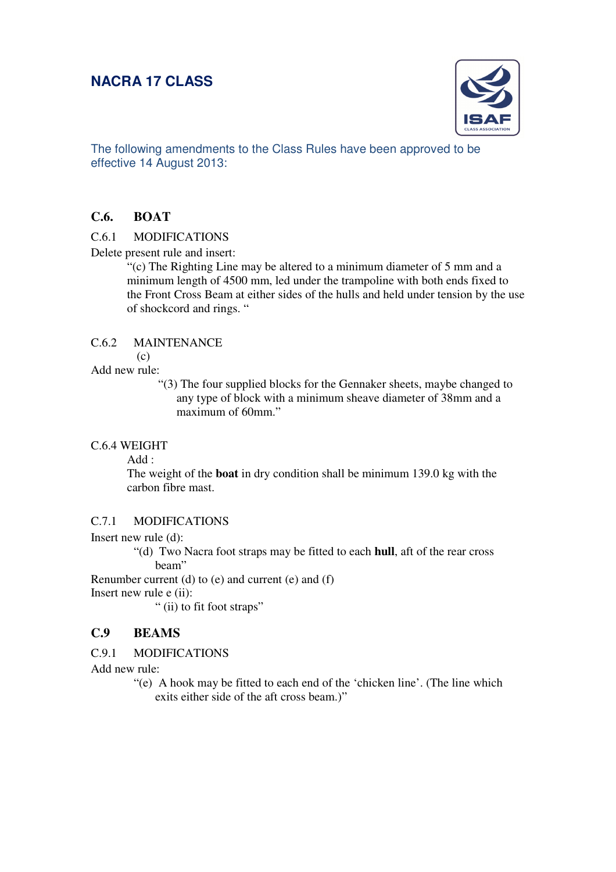## **NACRA 17 CLASS**



The following amendments to the Class Rules have been approved to be effective 14 August 2013:

### **C.6. BOAT**

#### C.6.1 MODIFICATIONS

Delete present rule and insert:

"(c) The Righting Line may be altered to a minimum diameter of 5 mm and a minimum length of 4500 mm, led under the trampoline with both ends fixed to the Front Cross Beam at either sides of the hulls and held under tension by the use of shockcord and rings. "

#### C.6.2 MAINTENANCE

(c)

#### Add new rule:

"(3) The four supplied blocks for the Gennaker sheets, maybe changed to any type of block with a minimum sheave diameter of 38mm and a maximum of 60mm."

#### C.6.4 WEIGHT

Add :

The weight of the **boat** in dry condition shall be minimum 139.0 kg with the carbon fibre mast.

#### C.7.1 MODIFICATIONS

#### Insert new rule (d):

"(d) Two Nacra foot straps may be fitted to each **hull**, aft of the rear cross beam"

Renumber current (d) to (e) and current (e) and (f)

Insert new rule e (ii):

" (ii) to fit foot straps"

### **C.9 BEAMS**

#### C.9.1 MODIFICATIONS

Add new rule:

"(e) A hook may be fitted to each end of the 'chicken line'. (The line which exits either side of the aft cross beam.)"